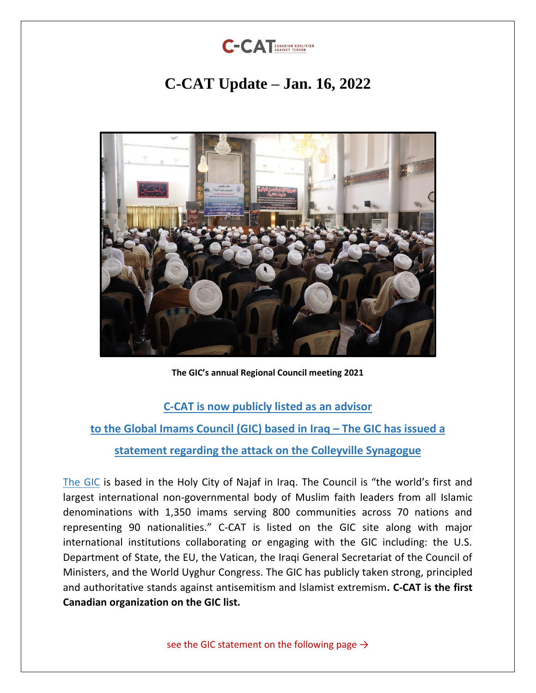

## **C-CAT Update – Jan. 16, 2022**



**The GIC's annual Regional Council meeting 2021**

#### **[C-CAT is now publicly listed as an advisor](https://imams.org/our-work/)**

**[to the Global Imams Council \(GIC\) based in Iraq](https://imams.org/our-work/) – The GIC has issued a statement regarding the attack on the Colleyville Synagogue**

[The GIC](https://imams.org/) is based in the Holy City of Najaf in Iraq. The Council is "the world's first and largest international non-governmental body of Muslim faith leaders from all Islamic denominations with 1,350 imams serving 800 communities across 70 nations and representing 90 nationalities." C-CAT is listed on the GIC site along with major international institutions collaborating or engaging with the GIC including: the U.S. Department of State, the EU, the Vatican, the Iraqi General Secretariat of the Council of Ministers, and the World Uyghur Congress. The GIC has publicly taken strong, principled and authoritative stands against antisemitism and lslamist extremism**. C-CAT is the first Canadian organization on the GIC list.** 

see the GIC statement on the following page  $\rightarrow$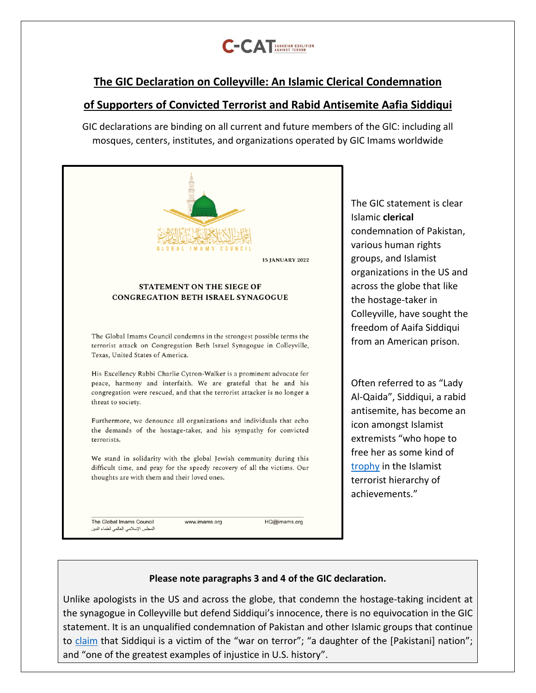

### **The GIC Declaration on Colleyville: An Islamic Clerical Condemnation**

#### **of Supporters of Convicted Terrorist and Rabid Antisemite Aafia Siddiqui**

GIC declarations are binding on all current and future members of the GlC: including all mosques, centers, institutes, and organizations operated by GIC Imams worldwide



The GIC statement is clear Islamic **clerical**  condemnation of Pakistan, various human rights groups, and Islamist organizations in the US and across the globe that like the hostage-taker in Colleyville, have sought the freedom of Aaifa Siddiqui from an American prison.

Often referred to as "Lady Al-Qaida", Siddiqui, a rabid antisemite, has become an icon amongst Islamist extremists "who hope to free her as some kind of [trophy](https://www.jpost.com/international/article-692650) in the Islamist terrorist hierarchy of achievements."

#### **Please note paragraphs 3 and 4 of the GIC declaration.**

Unlike apologists in the US and across the globe, that condemn the hostage-taking incident at the synagogue in Colleyville but defend Siddiqui's innocence, there is no equivocation in the GIC statement. It is an unqualified condemnation of Pakistan and other Islamic groups that continue to [claim](https://www.jpost.com/international/article-692650) that Siddiqui is a victim of the "war on terror"; "a daughter of the [Pakistani] nation"; and "one of the greatest examples of injustice in U.S. history".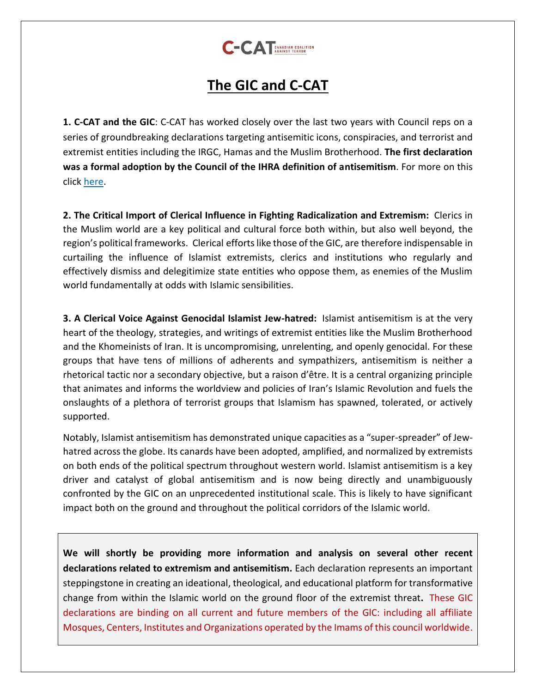

## **The GIC and C-CAT**

**1. C-CAT and the GIC**: C-CAT has worked closely over the last two years with Council reps on a series of groundbreaking declarations targeting antisemitic icons, conspiracies, and terrorist and extremist entities including the IRGC, Hamas and the Muslim Brotherhood. **The first declaration was a formal adoption by the Council of the IHRA definition of antisemitism**. For more on this click [here.](https://c-catcanada.org/resources/global-imams-council-adopts-the-ihra-definition-of-antisemitism-c-cat/)

**2. The Critical Import of Clerical Influence in Fighting Radicalization and Extremism:** Clerics in the Muslim world are a key political and cultural force both within, but also well beyond, the region's political frameworks. Clerical efforts like those of the GIC, are therefore indispensable in curtailing the influence of Islamist extremists, clerics and institutions who regularly and effectively dismiss and delegitimize state entities who oppose them, as enemies of the Muslim world fundamentally at odds with Islamic sensibilities.

**3. A Clerical Voice Against Genocidal Islamist Jew-hatred:** Islamist antisemitism is at the very heart of the theology, strategies, and writings of extremist entities like the Muslim Brotherhood and the Khomeinists of Iran. It is uncompromising, unrelenting, and openly genocidal. For these groups that have tens of millions of adherents and sympathizers, antisemitism is neither a rhetorical tactic nor a secondary objective, but a raison d'être. It is a central organizing principle that animates and informs the worldview and policies of Iran's Islamic Revolution and fuels the onslaughts of a plethora of terrorist groups that Islamism has spawned, tolerated, or actively supported.

Notably, Islamist antisemitism has demonstrated unique capacities as a "super-spreader" of Jewhatred across the globe. Its canards have been adopted, amplified, and normalized by extremists on both ends of the political spectrum throughout western world. Islamist antisemitism is a key driver and catalyst of global antisemitism and is now being directly and unambiguously confronted by the GIC on an unprecedented institutional scale. This is likely to have significant impact both on the ground and throughout the political corridors of the Islamic world.

**We will shortly be providing more information and analysis on several other recent declarations related to extremism and antisemitism.** Each declaration represents an important steppingstone in creating an ideational, theological, and educational platform for transformative change from within the Islamic world on the ground floor of the extremist threat**.** These GIC declarations are binding on all current and future members of the GlC: including all affiliate Mosques, Centers, Institutes and Organizations operated by the Imams of this council worldwide.